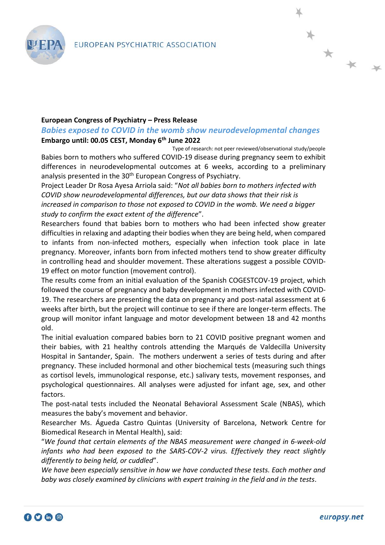

*Babies exposed to COVID in the womb show neurodevelopmental changes* **Embargo until: 00.05 CEST, Monday 6th June 2022**

Type of research: not peer reviewed/observational study/people Babies born to mothers who suffered COVID-19 disease during pregnancy seem to exhibit differences in neurodevelopmental outcomes at 6 weeks, according to a preliminary analysis presented in the 30<sup>th</sup> European Congress of Psychiatry.

Project Leader Dr Rosa Ayesa Arriola said: "*Not all babies born to mothers infected with COVID show neurodevelopmental differences, but our data shows that their risk is increased in comparison to those not exposed to COVID in the womb. We need a bigger study to confirm the exact extent of the difference*".

Researchers found that babies born to mothers who had been infected show greater difficulties in relaxing and adapting their bodies when they are being held, when compared to infants from non-infected mothers, especially when infection took place in late pregnancy. Moreover, infants born from infected mothers tend to show greater difficulty in controlling head and shoulder movement. These alterations suggest a possible COVID-19 effect on motor function (movement control).

The results come from an initial evaluation of the Spanish COGESTCOV-19 project, which followed the course of pregnancy and baby development in mothers infected with COVID-19. The researchers are presenting the data on pregnancy and post-natal assessment at 6 weeks after birth, but the project will continue to see if there are longer-term effects. The group will monitor infant language and motor development between 18 and 42 months old.

The initial evaluation compared babies born to 21 COVID positive pregnant women and their babies, with 21 healthy controls attending the Marqués de Valdecilla University Hospital in Santander, Spain. The mothers underwent a series of tests during and after pregnancy. These included hormonal and other biochemical tests (measuring such things as cortisol levels, immunological response, etc.) salivary tests, movement responses, and psychological questionnaires. All analyses were adjusted for infant age, sex, and other factors.

The post-natal tests included the Neonatal Behavioral Assessment Scale (NBAS), which measures the baby's movement and behavior.

Researcher Ms. Águeda Castro Quintas (University of Barcelona, Network Centre for Biomedical Research in Mental Health), said:

"*We found that certain elements of the NBAS measurement were changed in 6-week-old infants who had been exposed to the SARS-COV-2 virus. Effectively they react slightly differently to being held, or cuddled*".

*We have been especially sensitive in how we have conducted these tests. Each mother and baby was closely examined by clinicians with expert training in the field and in the tests.*

\* \* \*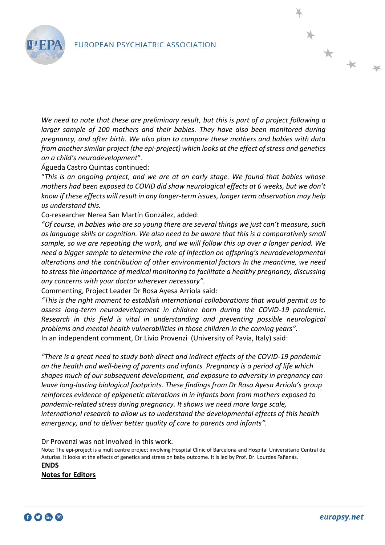

*We need to note that these are preliminary result, but this is part of a project following a larger sample of 100 mothers and their babies. They have also been monitored during pregnancy, and after birth. We also plan to compare these mothers and babies with data from another similar project (the epi-project) which looks at the effect of stress and genetics on a child's neurodevelopment*".

Águeda Castro Quintas continued:

"*This is an ongoing project, and we are at an early stage. We found that babies whose mothers had been exposed to COVID did show neurological effects at 6 weeks, but we don't know if these effects will result in any longer-term issues, longer term observation may help us understand this.* 

Co-researcher Nerea San Martín González, added:

*"Of course, in babies who are so young there are several things we just can't measure, such as language skills or cognition. We also need to be aware that this is a comparatively small sample, so we are repeating the work, and we will follow this up over a longer period. We need a bigger sample to determine the role of infection on offspring's neurodevelopmental alterations and the contribution of other environmental factors In the meantime, we need to stress the importance of medical monitoring to facilitate a healthy pregnancy, discussing any concerns with your doctor wherever necessary".* 

Commenting, Project Leader Dr Rosa Ayesa Arriola said:

*"This is the right moment to establish international collaborations that would permit us to assess long-term neurodevelopment in children born during the COVID-19 pandemic. Research in this field is vital in understanding and preventing possible neurological problems and mental health vulnerabilities in those children in the coming years".* In an independent comment, Dr Livio Provenzi (University of Pavia, Italy) said:

*"There is a great need to study both direct and indirect effects of the COVID-19 pandemic on the health and well-being of parents and infants. Pregnancy is a period of life which shapes much of our subsequent development, and exposure to adversity in pregnancy can leave long-lasting biological footprints. These findings from Dr Rosa Ayesa Arriola's group reinforces evidence of epigenetic alterations in in infants born from mothers exposed to pandemic-related stress during pregnancy. It shows we need more large scale, international research to allow us to understand the developmental effects of this health emergency, and to deliver better quality of care to parents and infants".*

Dr Provenzi was not involved in this work.

Note: The epi-project is a multicentre project involving Hospital Clínic of Barcelona and Hospital Universitario Central de Asturias. It looks at the effects of genetics and stress on baby outcome. It is led by Prof. Dr. Lourdes Fañanás. **ENDS**

**Notes for Editors**



\* \* \*